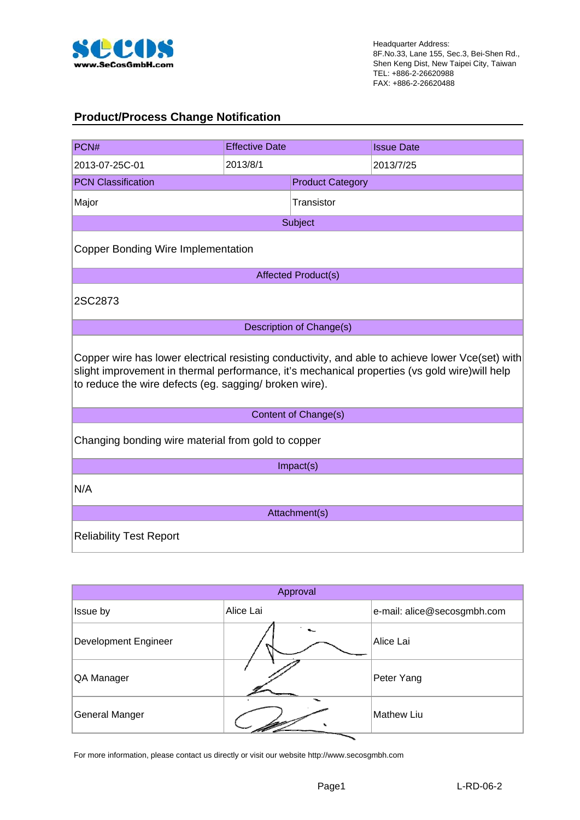

#### **Product/Process Change Notification**

| PCN#                                                                                                                                                     | <b>Effective Date</b> |                            | <b>Issue Date</b>                                                                                |  |  |  |
|----------------------------------------------------------------------------------------------------------------------------------------------------------|-----------------------|----------------------------|--------------------------------------------------------------------------------------------------|--|--|--|
| 2013-07-25C-01                                                                                                                                           | 2013/8/1              |                            | 2013/7/25                                                                                        |  |  |  |
| <b>PCN Classification</b>                                                                                                                                |                       | <b>Product Category</b>    |                                                                                                  |  |  |  |
| Major                                                                                                                                                    |                       | Transistor                 |                                                                                                  |  |  |  |
|                                                                                                                                                          |                       | Subject                    |                                                                                                  |  |  |  |
| <b>Copper Bonding Wire Implementation</b>                                                                                                                |                       |                            |                                                                                                  |  |  |  |
|                                                                                                                                                          |                       | <b>Affected Product(s)</b> |                                                                                                  |  |  |  |
| 2SC2873                                                                                                                                                  |                       |                            |                                                                                                  |  |  |  |
|                                                                                                                                                          |                       | Description of Change(s)   |                                                                                                  |  |  |  |
| slight improvement in thermal performance, it's mechanical properties (vs gold wire) will help<br>to reduce the wire defects (eg. sagging/ broken wire). |                       |                            | Copper wire has lower electrical resisting conductivity, and able to achieve lower Vce(set) with |  |  |  |
|                                                                                                                                                          |                       | Content of Change(s)       |                                                                                                  |  |  |  |
| Changing bonding wire material from gold to copper                                                                                                       |                       |                            |                                                                                                  |  |  |  |
|                                                                                                                                                          |                       | Impact(s)                  |                                                                                                  |  |  |  |
| N/A                                                                                                                                                      |                       |                            |                                                                                                  |  |  |  |
|                                                                                                                                                          |                       | Attachment(s)              |                                                                                                  |  |  |  |
| <b>Reliability Test Report</b>                                                                                                                           |                       |                            |                                                                                                  |  |  |  |

| Approval              |                          |                             |  |  |  |  |  |
|-----------------------|--------------------------|-----------------------------|--|--|--|--|--|
| Issue by              | Alice Lai                | e-mail: alice@secosgmbh.com |  |  |  |  |  |
| Development Engineer  |                          | Alice Lai                   |  |  |  |  |  |
| QA Manager            |                          | Peter Yang                  |  |  |  |  |  |
| <b>General Manger</b> | $\overline{\phantom{a}}$ | <b>Mathew Liu</b>           |  |  |  |  |  |

For more information, please contact us directly or visit our website http://www.secosgmbh.com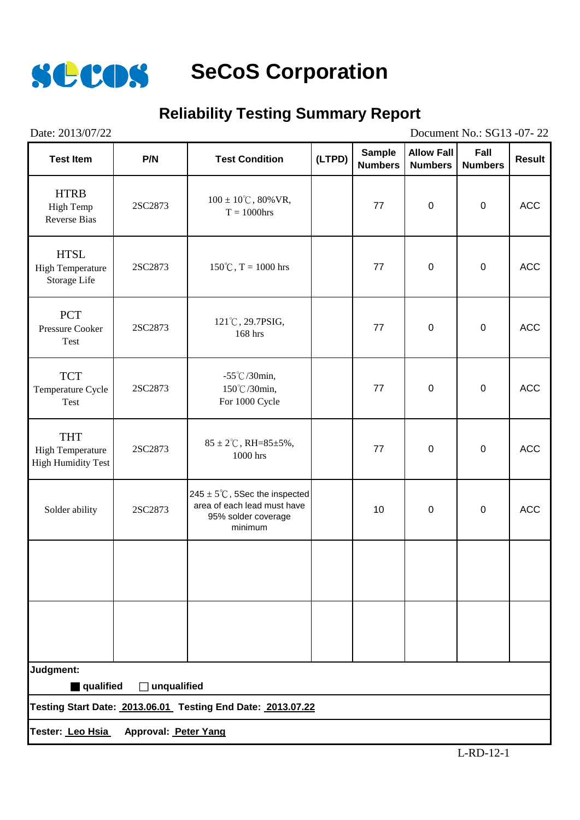

#### **Reliability Testing Summary Report**

Date: 2013/07/22 Document No.: SG13 -07- 22

| <b>Test Item</b>                                                   | P/N                  | <b>Test Condition</b>                                                                                      | (LTPD) | <b>Sample</b><br><b>Numbers</b> | <b>Allow Fall</b><br><b>Numbers</b> | Fall<br><b>Numbers</b> | <b>Result</b> |
|--------------------------------------------------------------------|----------------------|------------------------------------------------------------------------------------------------------------|--------|---------------------------------|-------------------------------------|------------------------|---------------|
| <b>HTRB</b><br><b>High Temp</b><br><b>Reverse Bias</b>             | 2SC2873              | $100 \pm 10^{\circ}$ C, 80% VR,<br>$T = 1000$ hrs                                                          |        | 77                              | $\mathbf 0$                         | $\mathbf 0$            | <b>ACC</b>    |
| <b>HTSL</b><br><b>High Temperature</b><br>Storage Life             | 2SC2873              | $150^{\circ}$ C, T = 1000 hrs                                                                              |        | 77                              | $\mathbf 0$                         | $\mathbf 0$            | <b>ACC</b>    |
| <b>PCT</b><br><b>Pressure Cooker</b><br>Test                       | 2SC2873              | 121°C, 29.7PSIG,<br>168 hrs                                                                                |        | 77                              | $\boldsymbol{0}$                    | $\mathbf 0$            | <b>ACC</b>    |
| <b>TCT</b><br>Temperature Cycle<br>Test                            | 2SC2873              | -55°C/30min,<br>150℃/30min,<br>For 1000 Cycle                                                              |        | 77                              | $\mathbf 0$                         | $\pmb{0}$              | <b>ACC</b>    |
| <b>THT</b><br><b>High Temperature</b><br><b>High Humidity Test</b> | 2SC2873              | $85 \pm 2^{\circ}$ C, RH= $85 \pm 5\%$ ,<br>1000 hrs                                                       |        | 77                              | $\mathbf 0$                         | $\mathbf 0$            | <b>ACC</b>    |
| Solder ability                                                     | 2SC2873              | $245 \pm 5^{\circ}$ C, 5Sec the inspected<br>area of each lead must have<br>95% solder coverage<br>minimum |        | 10                              | $\mathbf 0$                         | $\mathbf 0$            | <b>ACC</b>    |
|                                                                    |                      |                                                                                                            |        |                                 |                                     |                        |               |
|                                                                    |                      |                                                                                                            |        |                                 |                                     |                        |               |
| Judgment:<br>qualified                                             | unqualified          |                                                                                                            |        |                                 |                                     |                        |               |
|                                                                    |                      | Testing Start Date: 2013.06.01 Testing End Date: 2013.07.22                                                |        |                                 |                                     |                        |               |
| Tester: Leo Hsia                                                   | Approval: Peter Yang |                                                                                                            |        |                                 |                                     |                        |               |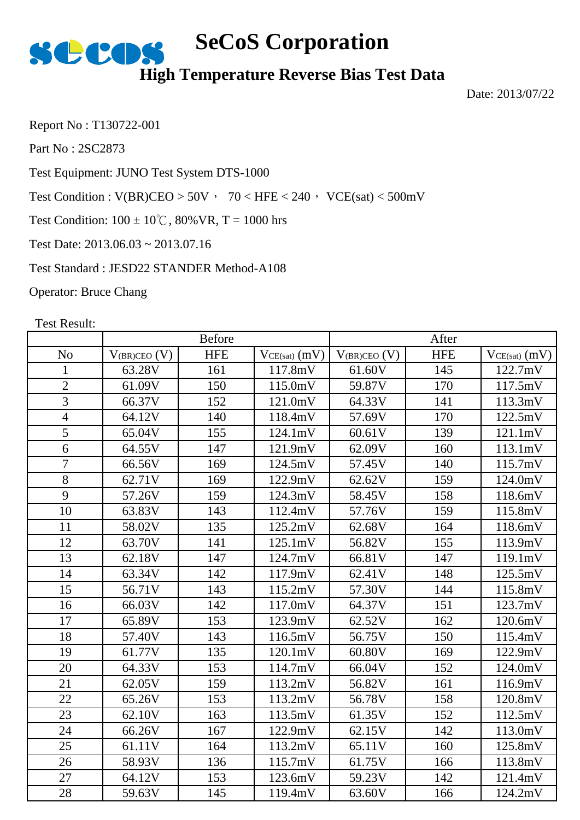## **High Temperature Reverse Bias Test Data**

Date: 2013/07/22

Report No : T130722-001

Part No : 2SC2873

Test Equipment: JUNO Test System DTS-1000

Test Condition :  $V(BR)CEO > 50V$ ,  $70 < HFE < 240$ ,  $VCE(sat) < 500mV$ 

Test Condition:  $100 \pm 10^{\circ}$ C,  $80\%$  VR, T = 1000 hrs

Test Date: 2013.06.03 ~ 2013.07.16

Test Standard : JESD22 STANDER Method-A108

Operator: Bruce Chang

|                |                   | <b>Before</b> |                 |                   | After      |                 |
|----------------|-------------------|---------------|-----------------|-------------------|------------|-----------------|
| N <sub>o</sub> | $V_{(BR)CEO} (V)$ | <b>HFE</b>    | $VCE(sat)$ (mV) | $V_{(BR)CEO}$ (V) | <b>HFE</b> | $VCE(sat)$ (mV) |
| $\mathbf{1}$   | 63.28V            | 161           | 117.8mV         | 61.60V            | 145        | 122.7mV         |
| $\overline{2}$ | 61.09V            | 150           | 115.0mV         | 59.87V            | 170        | 117.5mV         |
| 3              | 66.37V            | 152           | 121.0mV         | 64.33V            | 141        | 113.3mV         |
| $\overline{4}$ | 64.12V            | 140           | 118.4mV         | 57.69V            | 170        | 122.5mV         |
| 5              | 65.04V            | 155           | 124.1mV         | 60.61V            | 139        | 121.1mV         |
| 6              | 64.55V            | 147           | 121.9mV         | 62.09V            | 160        | 113.1mV         |
| $\overline{7}$ | 66.56V            | 169           | 124.5mV         | 57.45V            | 140        | 115.7mV         |
| $\overline{8}$ | 62.71V            | 169           | 122.9mV         | 62.62V            | 159        | 124.0mV         |
| 9              | 57.26V            | 159           | 124.3mV         | 58.45V            | 158        | 118.6mV         |
| 10             | 63.83V            | 143           | 112.4mV         | 57.76V            | 159        | 115.8mV         |
| 11             | 58.02V            | 135           | 125.2mV         | 62.68V            | 164        | 118.6mV         |
| 12             | 63.70V            | 141           | 125.1mV         | 56.82V            | 155        | 113.9mV         |
| 13             | 62.18V            | 147           | 124.7mV         | 66.81V            | 147        | 119.1mV         |
| 14             | 63.34V            | 142           | 117.9mV         | 62.41V            | 148        | 125.5mV         |
| 15             | 56.71V            | 143           | 115.2mV         | 57.30V            | 144        | 115.8mV         |
| 16             | 66.03V            | 142           | 117.0mV         | 64.37V            | 151        | 123.7mV         |
| 17             | 65.89V            | 153           | 123.9mV         | 62.52V            | 162        | 120.6mV         |
| 18             | 57.40V            | 143           | 116.5mV         | 56.75V            | 150        | 115.4mV         |
| 19             | 61.77V            | 135           | 120.1mV         | 60.80V            | 169        | 122.9mV         |
| 20             | 64.33V            | 153           | 114.7mV         | 66.04V            | 152        | 124.0mV         |
| 21             | 62.05V            | 159           | 113.2mV         | 56.82V            | 161        | 116.9mV         |
| 22             | 65.26V            | 153           | 113.2mV         | 56.78V            | 158        | 120.8mV         |
| 23             | 62.10V            | 163           | 113.5mV         | 61.35V            | 152        | 112.5mV         |
| 24             | 66.26V            | 167           | 122.9mV         | 62.15V            | 142        | 113.0mV         |
| 25             | 61.11V            | 164           | 113.2mV         | 65.11V            | 160        | 125.8mV         |
| 26             | 58.93V            | 136           | 115.7mV         | 61.75V            | 166        | 113.8mV         |
| 27             | 64.12V            | 153           | 123.6mV         | 59.23V            | 142        | 121.4mV         |
| 28             | 59.63V            | 145           | 119.4mV         | 63.60V            | 166        | 124.2mV         |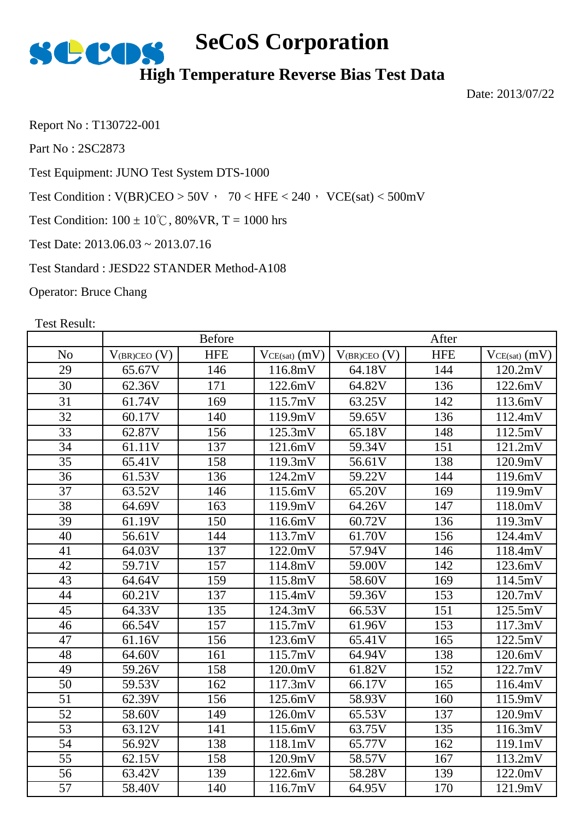## **High Temperature Reverse Bias Test Data**

Date: 2013/07/22

Report No : T130722-001

Part No : 2SC2873

Test Equipment: JUNO Test System DTS-1000

Test Condition :  $V(BR)CEO > 50V$ ,  $70 < HFE < 240$ ,  $VCE(sat) < 500mV$ 

Test Condition:  $100 \pm 10^{\circ}$ C,  $80\%$  VR, T = 1000 hrs

Test Date: 2013.06.03 ~ 2013.07.16

Test Standard : JESD22 STANDER Method-A108

Operator: Bruce Chang

|                 |                   | <b>Before</b> |                       |                   | After      |                   |
|-----------------|-------------------|---------------|-----------------------|-------------------|------------|-------------------|
| N <sub>0</sub>  | $V_{(BR)CEO} (V)$ | <b>HFE</b>    | $VCE(sat)$ $(mV)$     | $V_{(BR)CEO} (V)$ | <b>HFE</b> | $VCE(sat)$ $(mV)$ |
| 29              | 65.67V            | 146           | 116.8mV               | 64.18V            | 144        | 120.2mV           |
| 30              | 62.36V            | 171           | 122.6mV               | 64.82V            | 136        | 122.6mV           |
| 31              | 61.74V            | 169           | 115.7mV               | 63.25V            | 142        | 113.6mV           |
| 32              | 60.17V            | 140           | 119.9mV               | 59.65V            | 136        | 112.4mV           |
| 33              | 62.87V            | 156           | 125.3mV               | 65.18V            | 148        | 112.5mV           |
| $\overline{34}$ | 61.11V            | 137           | 121.6mV               | 59.34V            | 151        | 121.2mV           |
| $\overline{35}$ | 65.41V            | 158           | 119.3mV               | 56.61V            | 138        | 120.9mV           |
| $\overline{36}$ | 61.53V            | 136           | 124.2mV               | 59.22V            | 144        | 119.6mV           |
| 37              | 63.52V            | 146           | 115.6mV               | 65.20V            | 169        | 119.9mV           |
| $\overline{38}$ | 64.69V            | 163           | 119.9mV               | 64.26V            | 147        | 118.0mV           |
| 39              | 61.19V            | 150           | 116.6mV               | 60.72V            | 136        | 119.3mV           |
| 40              | 56.61V            | 144           | 113.7mV               | 61.70V            | 156        | 124.4mV           |
| 41              | 64.03V            | 137           | 122.0mV               | 57.94V            | 146        | 118.4mV           |
| 42              | 59.71V            | 157           | 114.8mV               | 59.00V            | 142        | 123.6mV           |
| 43              | 64.64V            | 159           | 115.8mV               | 58.60V            | 169        | 114.5mV           |
| 44              | 60.21V            | 137           | 115.4mV               | 59.36V            | 153        | 120.7mV           |
| $\overline{45}$ | 64.33V            | 135           | 124.3mV               | 66.53V            | 151        | 125.5mV           |
| 46              | 66.54V            | 157           | 115.7mV               | 61.96V            | 153        | 117.3mV           |
| 47              | 61.16V            | 156           | 123.6mV               | 65.41V            | 165        | 122.5mV           |
| 48              | 64.60V            | 161           | 115.7mV               | 64.94V            | 138        | 120.6mV           |
| 49              | 59.26V            | 158           | 120.0mV               | 61.82V            | 152        | 122.7mV           |
| 50              | 59.53V            | 162           | $\overline{1}17.3$ mV | 66.17V            | 165        | 116.4mV           |
| $\overline{51}$ | 62.39V            | 156           | 125.6mV               | 58.93V            | 160        | 115.9mV           |
| $\overline{52}$ | 58.60V            | 149           | 126.0mV               | 65.53V            | 137        | 120.9mV           |
| $\overline{53}$ | 63.12V            | 141           | 115.6mV               | 63.75V            | 135        | 116.3mV           |
| 54              | 56.92V            | 138           | $\overline{1}$ 18.1mV | 65.77V            | 162        | 119.1mV           |
| $\overline{55}$ | 62.15V            | 158           | 120.9mV               | 58.57V            | 167        | 113.2mV           |
| 56              | 63.42V            | 139           | 122.6mV               | 58.28V            | 139        | 122.0mV           |
| $\overline{57}$ | 58.40V            | 140           | 116.7mV               | 64.95V            | 170        | 121.9mV           |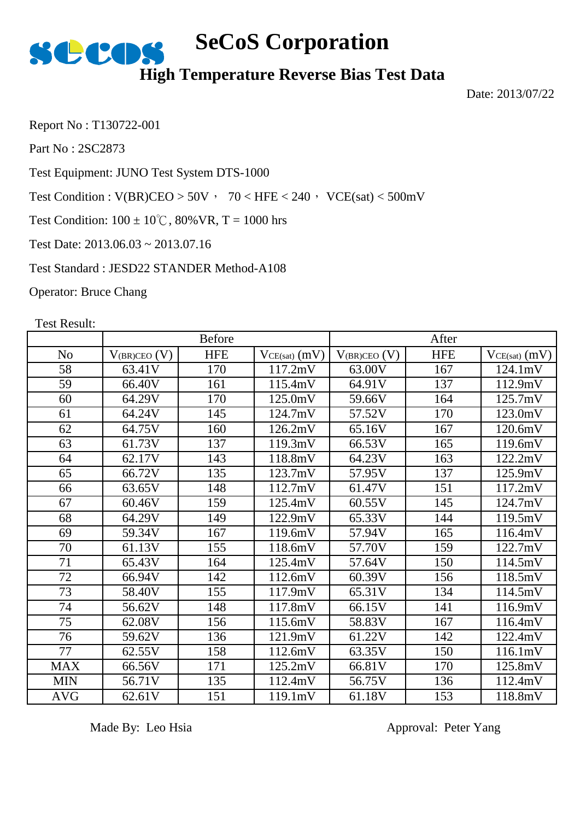## **High Temperature Reverse Bias Test Data**

Date: 2013/07/22

Report No : T130722-001

Part No : 2SC2873

Test Equipment: JUNO Test System DTS-1000

Test Condition :  $V(BR)CEO > 50V$ ,  $70 < HFE < 240$ ,  $VCE(sat) < 500mV$ 

Test Condition:  $100 \pm 10^{\circ}$ C,  $80\%$  VR, T = 1000 hrs

Test Date: 2013.06.03 ~ 2013.07.16

Test Standard : JESD22 STANDER Method-A108

Operator: Bruce Chang

Test Result:

|                |                   | <b>Before</b> |                 |                   | After      |                 |
|----------------|-------------------|---------------|-----------------|-------------------|------------|-----------------|
| N <sub>o</sub> | $V_{(BR)CEO} (V)$ | <b>HFE</b>    | $VCE(sat)$ (mV) | $V_{(BR)CEO} (V)$ | <b>HFE</b> | $VCE(sat)$ (mV) |
| 58             | 63.41V            | 170           | 117.2mV         | 63.00V            | 167        | 124.1mV         |
| 59             | 66.40V            | 161           | 115.4mV         | 64.91V            | 137        | 112.9mV         |
| 60             | 64.29V            | 170           | 125.0mV         | 59.66V            | 164        | 125.7mV         |
| 61             | 64.24V            | 145           | 124.7mV         | 57.52V            | 170        | 123.0mV         |
| 62             | 64.75V            | 160           | 126.2mV         | 65.16V            | 167        | 120.6mV         |
| 63             | 61.73V            | 137           | 119.3mV         | 66.53V            | 165        | 119.6mV         |
| 64             | 62.17V            | 143           | 118.8mV         | 64.23V            | 163        | 122.2mV         |
| 65             | 66.72V            | 135           | 123.7mV         | 57.95V            | 137        | 125.9mV         |
| 66             | 63.65V            | 148           | 112.7mV         | 61.47V            | 151        | 117.2mV         |
| 67             | 60.46V            | 159           | 125.4mV         | 60.55V            | 145        | 124.7mV         |
| 68             | 64.29V            | 149           | 122.9mV         | 65.33V            | 144        | 119.5mV         |
| 69             | 59.34V            | 167           | 119.6mV         | 57.94V            | 165        | 116.4mV         |
| 70             | 61.13V            | 155           | 118.6mV         | 57.70V            | 159        | 122.7mV         |
| 71             | 65.43V            | 164           | 125.4mV         | 57.64V            | 150        | 114.5mV         |
| 72             | 66.94V            | 142           | 112.6mV         | 60.39V            | 156        | 118.5mV         |
| 73             | 58.40V            | 155           | 117.9mV         | 65.31V            | 134        | 114.5mV         |
| 74             | 56.62V            | 148           | 117.8mV         | 66.15V            | 141        | 116.9mV         |
| 75             | 62.08V            | 156           | 115.6mV         | 58.83V            | 167        | 116.4mV         |
| 76             | 59.62V            | 136           | 121.9mV         | 61.22V            | 142        | 122.4mV         |
| 77             | 62.55V            | 158           | 112.6mV         | 63.35V            | 150        | 116.1mV         |
| <b>MAX</b>     | 66.56V            | 171           | 125.2mV         | 66.81V            | 170        | 125.8mV         |
| <b>MIN</b>     | 56.71V            | 135           | 112.4mV         | 56.75V            | 136        | 112.4mV         |
| <b>AVG</b>     | 62.61V            | 151           | 119.1mV         | 61.18V            | 153        | 118.8mV         |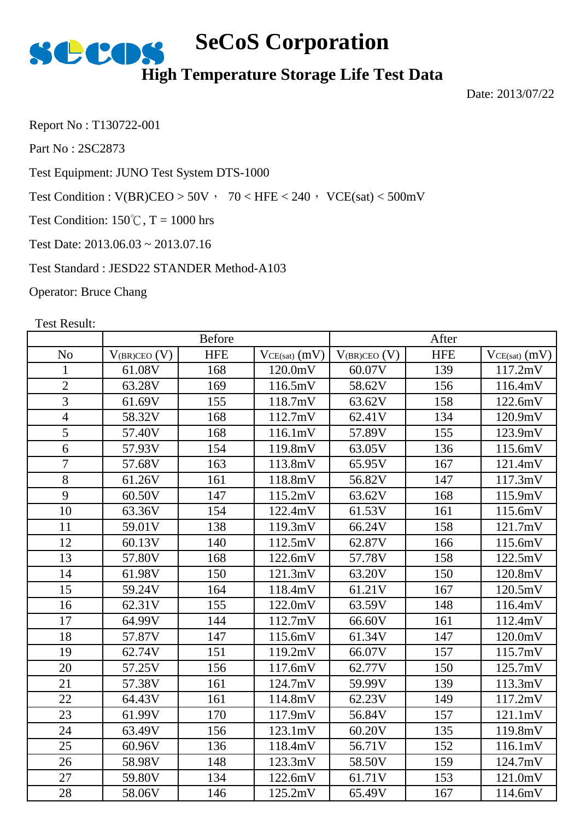## **High Temperature Storage Life Test Data**

Date: 2013/07/22

Report No : T130722-001

Part No : 2SC2873

Test Equipment: JUNO Test System DTS-1000

Test Condition :  $V(BR)CEO > 50V$ ,  $70 < HFE < 240$ ,  $VCE(sat) < 500mV$ 

Test Condition:  $150^{\circ}$ C, T = 1000 hrs

Test Date: 2013.06.03 ~ 2013.07.16

Test Standard : JESD22 STANDER Method-A103

Operator: Bruce Chang

|                |                   | <b>Before</b> |                 |                   | After      |                   |
|----------------|-------------------|---------------|-----------------|-------------------|------------|-------------------|
| N <sub>o</sub> | $V_{(BR)CEO} (V)$ | <b>HFE</b>    | $VCE(sat)$ (mV) | $V_{(BR)CEO} (V)$ | <b>HFE</b> | $VCE(sat)$ $(mV)$ |
| $\mathbf{1}$   | 61.08V            | 168           | 120.0mV         | 60.07V            | 139        | 117.2mV           |
| $\overline{2}$ | 63.28V            | 169           | 116.5mV         | 58.62V            | 156        | 116.4mV           |
| $\overline{3}$ | 61.69V            | 155           | 118.7mV         | 63.62V            | 158        | 122.6mV           |
| $\overline{4}$ | 58.32V            | 168           | 112.7mV         | 62.41V            | 134        | 120.9mV           |
| 5              | 57.40V            | 168           | 116.1mV         | 57.89V            | 155        | 123.9mV           |
| 6              | 57.93V            | 154           | 119.8mV         | 63.05V            | 136        | 115.6mV           |
| $\overline{7}$ | 57.68V            | 163           | 113.8mV         | 65.95V            | 167        | 121.4mV           |
| 8              | 61.26V            | 161           | 118.8mV         | 56.82V            | 147        | 117.3mV           |
| 9              | 60.50V            | 147           | 115.2mV         | 63.62V            | 168        | 115.9mV           |
| 10             | 63.36V            | 154           | 122.4mV         | 61.53V            | 161        | 115.6mV           |
| 11             | 59.01V            | 138           | 119.3mV         | 66.24V            | 158        | 121.7mV           |
| 12             | 60.13V            | 140           | 112.5mV         | 62.87V            | 166        | 115.6mV           |
| 13             | 57.80V            | 168           | 122.6mV         | 57.78V            | 158        | 122.5mV           |
| 14             | 61.98V            | 150           | 121.3mV         | 63.20V            | 150        | 120.8mV           |
| 15             | 59.24V            | 164           | 118.4mV         | 61.21V            | 167        | 120.5mV           |
| 16             | 62.31V            | 155           | 122.0mV         | 63.59V            | 148        | 116.4mV           |
| 17             | 64.99V            | 144           | 112.7mV         | 66.60V            | 161        | 112.4mV           |
| 18             | 57.87V            | 147           | 115.6mV         | 61.34V            | 147        | 120.0mV           |
| 19             | 62.74V            | 151           | 119.2mV         | 66.07V            | 157        | 115.7mV           |
| 20             | 57.25V            | 156           | 117.6mV         | 62.77V            | 150        | 125.7mV           |
| 21             | 57.38V            | 161           | 124.7mV         | 59.99V            | 139        | 113.3mV           |
| 22             | 64.43V            | 161           | 114.8mV         | 62.23V            | 149        | 117.2mV           |
| 23             | 61.99V            | 170           | 117.9mV         | 56.84V            | 157        | 121.1mV           |
| 24             | 63.49V            | 156           | 123.1mV         | 60.20V            | 135        | 119.8mV           |
| 25             | 60.96V            | 136           | 118.4mV         | 56.71V            | 152        | 116.1mV           |
| 26             | 58.98V            | 148           | 123.3mV         | 58.50V            | 159        | 124.7mV           |
| 27             | 59.80V            | 134           | 122.6mV         | 61.71V            | 153        | 121.0mV           |
| 28             | 58.06V            | 146           | 125.2mV         | 65.49V            | 167        | 114.6mV           |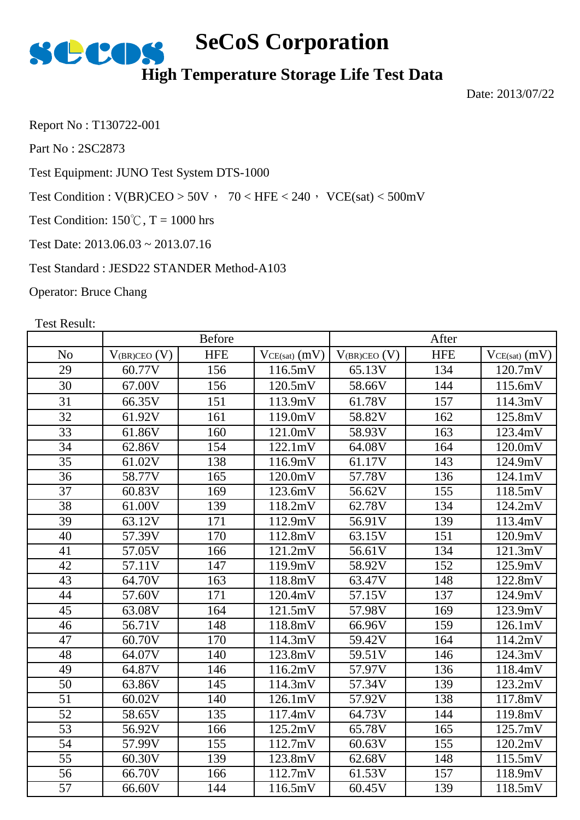## **High Temperature Storage Life Test Data**

Date: 2013/07/22

Report No : T130722-001

Part No : 2SC2873

Test Equipment: JUNO Test System DTS-1000

Test Condition :  $V(BR)CEO > 50V$ ,  $70 < HFE < 240$ ,  $VCE(sat) < 500mV$ 

Test Condition:  $150^{\circ}$ C, T = 1000 hrs

Test Date: 2013.06.03 ~ 2013.07.16

Test Standard : JESD22 STANDER Method-A103

Operator: Bruce Chang

|                 |                   | <b>Before</b> |                       |                   | After      |                 |
|-----------------|-------------------|---------------|-----------------------|-------------------|------------|-----------------|
| N <sub>o</sub>  | $V_{(BR)CEO} (V)$ | <b>HFE</b>    | $VCE(sat)$ (mV)       | $V_{(BR)CEO} (V)$ | <b>HFE</b> | $VCE(sat)$ (mV) |
| 29              | 60.77V            | 156           | 116.5mV               | 65.13V            | 134        | 120.7mV         |
| 30              | 67.00V            | 156           | 120.5mV               | 58.66V            | 144        | 115.6mV         |
| 31              | 66.35V            | 151           | 113.9mV               | 61.78V            | 157        | 114.3mV         |
| 32              | 61.92V            | 161           | 119.0mV               | 58.82V            | 162        | 125.8mV         |
| 33              | 61.86V            | 160           | 121.0mV               | 58.93V            | 163        | 123.4mV         |
| 34              | 62.86V            | 154           | $\overline{1}22.1$ mV | 64.08V            | 164        | 120.0mV         |
| $\overline{35}$ | 61.02V            | 138           | 116.9mV               | 61.17V            | 143        | 124.9mV         |
| 36              | 58.77V            | 165           | 120.0mV               | 57.78V            | 136        | 124.1mV         |
| $\overline{37}$ | 60.83V            | 169           | 123.6mV               | 56.62V            | 155        | 118.5mV         |
| 38              | 61.00V            | 139           | 118.2mV               | 62.78V            | 134        | 124.2mV         |
| 39              | 63.12V            | 171           | 112.9mV               | 56.91V            | 139        | 113.4mV         |
| 40              | 57.39V            | 170           | 112.8mV               | 63.15V            | 151        | 120.9mV         |
| 41              | 57.05V            | 166           | 121.2mV               | 56.61V            | 134        | 121.3mV         |
| 42              | 57.11V            | 147           | 119.9mV               | 58.92V            | 152        | 125.9mV         |
| 43              | 64.70V            | 163           | 118.8mV               | 63.47V            | 148        | 122.8mV         |
| 44              | 57.60V            | 171           | 120.4mV               | 57.15V            | 137        | 124.9mV         |
| $\overline{45}$ | 63.08V            | 164           | 121.5mV               | 57.98V            | 169        | 123.9mV         |
| 46              | 56.71V            | 148           | 118.8mV               | 66.96V            | 159        | 126.1mV         |
| $\overline{47}$ | 60.70V            | 170           | 114.3mV               | 59.42V            | 164        | 114.2mV         |
| 48              | 64.07V            | 140           | 123.8mV               | 59.51V            | 146        | 124.3mV         |
| $\overline{49}$ | 64.87V            | 146           | 116.2mV               | 57.97V            | 136        | 118.4mV         |
| 50              | 63.86V            | 145           | 114.3mV               | 57.34V            | 139        | 123.2mV         |
| 51              | 60.02V            | 140           | 126.1mV               | 57.92V            | 138        | 117.8mV         |
| $\overline{52}$ | 58.65V            | 135           | 117.4mV               | 64.73V            | 144        | 119.8mV         |
| $\overline{53}$ | 56.92V            | 166           | 125.2mV               | 65.78V            | 165        | 125.7mV         |
| 54              | 57.99V            | 155           | 112.7mV               | 60.63V            | 155        | 120.2mV         |
| $\overline{55}$ | 60.30V            | 139           | 123.8mV               | 62.68V            | 148        | 115.5mV         |
| 56              | 66.70V            | 166           | 112.7mV               | 61.53V            | 157        | 118.9mV         |
| $\overline{57}$ | 66.60V            | 144           | 116.5mV               | 60.45V            | 139        | 118.5mV         |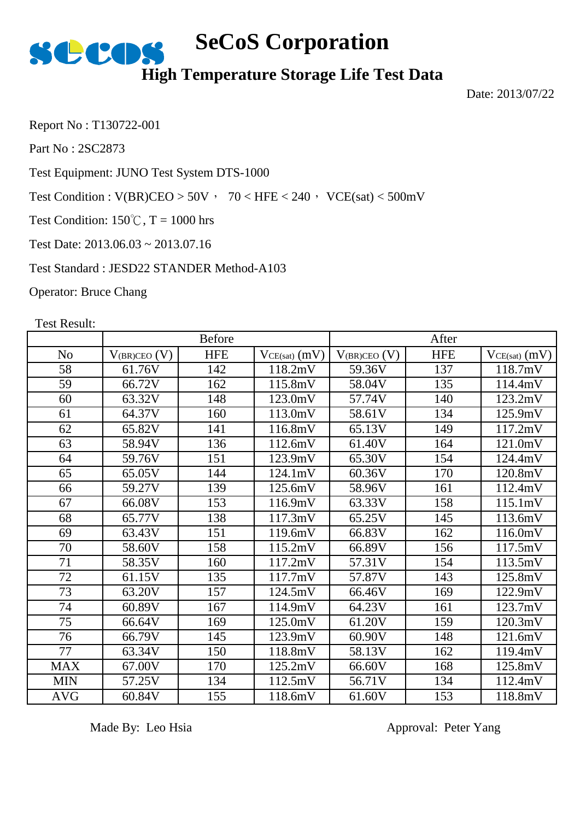

# **High Temperature Storage Life Test Data**

Date: 2013/07/22

Report No : T130722-001

Part No : 2SC2873

Test Equipment: JUNO Test System DTS-1000

Test Condition :  $V(BR)CEO > 50V$ ,  $70 < HFE < 240$ ,  $VCE(sat) < 500mV$ 

Test Condition:  $150^{\circ}$ C, T = 1000 hrs

Test Date: 2013.06.03 ~ 2013.07.16

Test Standard : JESD22 STANDER Method-A103

Operator: Bruce Chang

Test Result:

|                |                   | <b>Before</b> |                   |                   | After      |                   |
|----------------|-------------------|---------------|-------------------|-------------------|------------|-------------------|
| N <sub>o</sub> | $V_{(BR)CEO} (V)$ | <b>HFE</b>    | $VCE(sat)$ $(mV)$ | $V_{(BR)CEO} (V)$ | <b>HFE</b> | $VCE(sat)$ $(mV)$ |
| 58             | 61.76V            | 142           | 118.2mV           | 59.36V            | 137        | 118.7mV           |
| 59             | 66.72V            | 162           | 115.8mV           | 58.04V            | 135        | 114.4mV           |
| 60             | 63.32V            | 148           | 123.0mV           | 57.74V            | 140        | 123.2mV           |
| 61             | 64.37V            | 160           | 113.0mV           | 58.61V            | 134        | 125.9mV           |
| 62             | 65.82V            | 141           | 116.8mV           | 65.13V            | 149        | 117.2mV           |
| 63             | 58.94V            | 136           | 112.6mV           | 61.40V            | 164        | 121.0mV           |
| 64             | 59.76V            | 151           | 123.9mV           | 65.30V            | 154        | 124.4mV           |
| 65             | 65.05V            | 144           | 124.1mV           | 60.36V            | 170        | 120.8mV           |
| 66             | 59.27V            | 139           | 125.6mV           | 58.96V            | 161        | 112.4mV           |
| 67             | 66.08V            | 153           | 116.9mV           | 63.33V            | 158        | 115.1mV           |
| 68             | 65.77V            | 138           | 117.3mV           | 65.25V            | 145        | 113.6mV           |
| 69             | 63.43V            | 151           | 119.6mV           | 66.83V            | 162        | 116.0mV           |
| 70             | 58.60V            | 158           | 115.2mV           | 66.89V            | 156        | 117.5mV           |
| 71             | 58.35V            | 160           | 117.2mV           | 57.31V            | 154        | 113.5mV           |
| 72             | 61.15V            | 135           | 117.7mV           | 57.87V            | 143        | 125.8mV           |
| 73             | 63.20V            | 157           | 124.5mV           | 66.46V            | 169        | 122.9mV           |
| 74             | 60.89V            | 167           | 114.9mV           | 64.23V            | 161        | 123.7mV           |
| 75             | 66.64V            | 169           | 125.0mV           | 61.20V            | 159        | 120.3mV           |
| 76             | 66.79V            | 145           | 123.9mV           | 60.90V            | 148        | 121.6mV           |
| 77             | 63.34V            | 150           | 118.8mV           | 58.13V            | 162        | 119.4mV           |
| <b>MAX</b>     | 67.00V            | 170           | 125.2mV           | 66.60V            | 168        | 125.8mV           |
| <b>MIN</b>     | 57.25V            | 134           | 112.5mV           | 56.71V            | 134        | 112.4mV           |
| <b>AVG</b>     | 60.84V            | 155           | 118.6mV           | 61.60V            | 153        | 118.8mV           |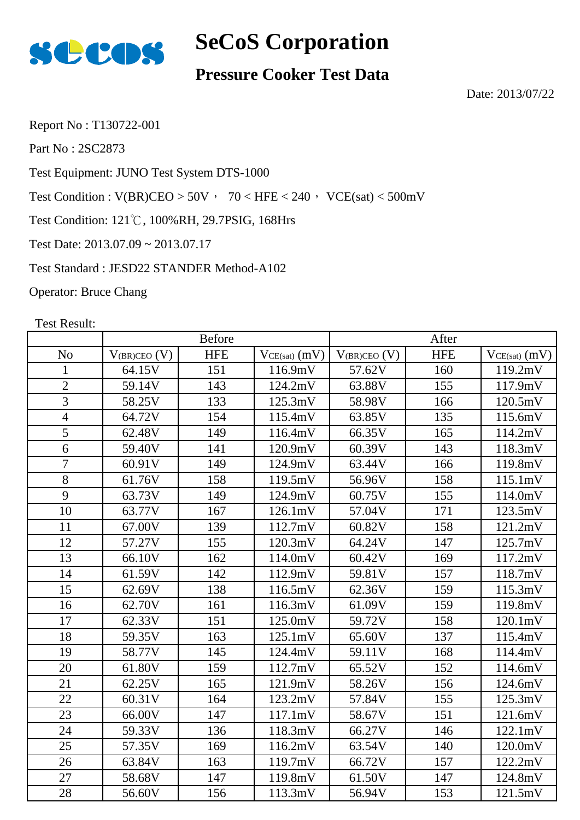

#### **Pressure Cooker Test Data**

Date: 2013/07/22

Report No : T130722-001

Part No : 2SC2873

Test Equipment: JUNO Test System DTS-1000

Test Condition :  $V(BR)CEO > 50V$ ,  $70 < HFE < 240$ ,  $VCE(sat) < 500mV$ 

Test Condition: 121℃, 100%RH, 29.7PSIG, 168Hrs

Test Date: 2013.07.09 ~ 2013.07.17

Test Standard : JESD22 STANDER Method-A102

Operator: Bruce Chang

|                |                   | <b>Before</b> |                 |                   | After      |                   |
|----------------|-------------------|---------------|-----------------|-------------------|------------|-------------------|
| N <sub>o</sub> | $V_{(BR)CEO} (V)$ | <b>HFE</b>    | $VCE(sat)$ (mV) | $V_{(BR)CEO} (V)$ | <b>HFE</b> | $VCE(sat)$ $(mV)$ |
| $\mathbf{1}$   | 64.15V            | 151           | 116.9mV         | 57.62V            | 160        | 119.2mV           |
| $\overline{2}$ | 59.14V            | 143           | 124.2mV         | 63.88V            | 155        | 117.9mV           |
| $\overline{3}$ | 58.25V            | 133           | 125.3mV         | 58.98V            | 166        | 120.5mV           |
| $\overline{4}$ | 64.72V            | 154           | 115.4mV         | 63.85V            | 135        | 115.6mV           |
| 5              | 62.48V            | 149           | 116.4mV         | 66.35V            | 165        | 114.2mV           |
| 6              | 59.40V            | 141           | 120.9mV         | 60.39V            | 143        | 118.3mV           |
| $\overline{7}$ | 60.91V            | 149           | 124.9mV         | 63.44V            | 166        | 119.8mV           |
| $\overline{8}$ | 61.76V            | 158           | 119.5mV         | 56.96V            | 158        | 115.1mV           |
| 9              | 63.73V            | 149           | 124.9mV         | 60.75V            | 155        | 114.0mV           |
| 10             | 63.77V            | 167           | 126.1mV         | 57.04V            | 171        | 123.5mV           |
| 11             | 67.00V            | 139           | 112.7mV         | 60.82V            | 158        | 121.2mV           |
| 12             | 57.27V            | 155           | 120.3mV         | 64.24V            | 147        | 125.7mV           |
| 13             | 66.10V            | 162           | 114.0mV         | 60.42V            | 169        | 117.2mV           |
| 14             | 61.59V            | 142           | 112.9mV         | 59.81V            | 157        | 118.7mV           |
| 15             | 62.69V            | 138           | 116.5mV         | 62.36V            | 159        | 115.3mV           |
| 16             | 62.70V            | 161           | 116.3mV         | 61.09V            | 159        | 119.8mV           |
| 17             | 62.33V            | 151           | 125.0mV         | 59.72V            | 158        | 120.1mV           |
| 18             | 59.35V            | 163           | 125.1mV         | 65.60V            | 137        | 115.4mV           |
| 19             | 58.77V            | 145           | 124.4mV         | 59.11V            | 168        | 114.4mV           |
| 20             | 61.80V            | 159           | 112.7mV         | 65.52V            | 152        | 114.6mV           |
| 21             | 62.25V            | 165           | 121.9mV         | 58.26V            | 156        | 124.6mV           |
| 22             | 60.31V            | 164           | 123.2mV         | 57.84V            | 155        | 125.3mV           |
| 23             | 66.00V            | 147           | 117.1mV         | 58.67V            | 151        | 121.6mV           |
| 24             | 59.33V            | 136           | 118.3mV         | 66.27V            | 146        | 122.1mV           |
| 25             | 57.35V            | 169           | 116.2mV         | 63.54V            | 140        | 120.0mV           |
| 26             | 63.84V            | 163           | 119.7mV         | 66.72V            | 157        | 122.2mV           |
| 27             | 58.68V            | 147           | 119.8mV         | 61.50V            | 147        | 124.8mV           |
| 28             | 56.60V            | 156           | 113.3mV         | 56.94V            | 153        | 121.5mV           |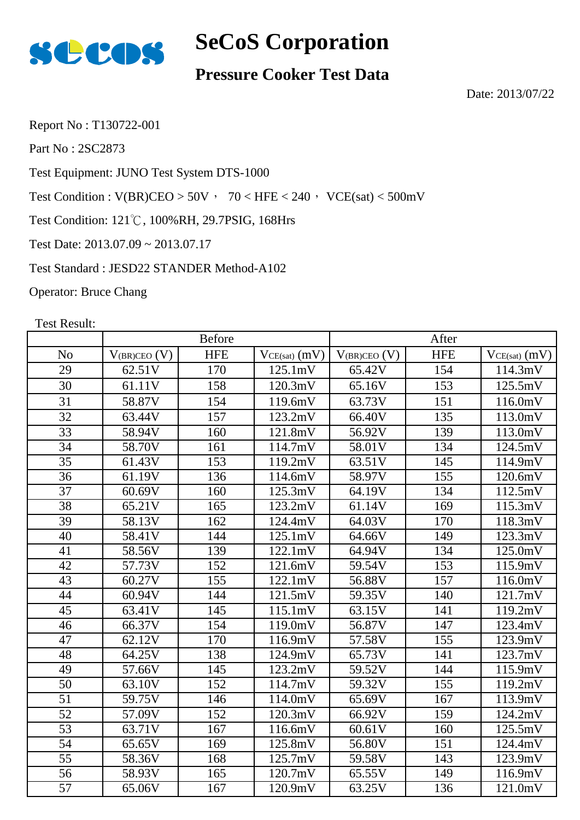

#### **Pressure Cooker Test Data**

Date: 2013/07/22

Report No : T130722-001

Part No : 2SC2873

Test Equipment: JUNO Test System DTS-1000

Test Condition :  $V(BR)CEO > 50V$ ,  $70 < HFE < 240$ ,  $VCE(sat) < 500mV$ 

Test Condition: 121℃, 100%RH, 29.7PSIG, 168Hrs

Test Date: 2013.07.09 ~ 2013.07.17

Test Standard : JESD22 STANDER Method-A102

Operator: Bruce Chang

|                 |                   | <b>Before</b> |                       |                   | After      |                   |
|-----------------|-------------------|---------------|-----------------------|-------------------|------------|-------------------|
| N <sub>o</sub>  | $V_{(BR)CEO} (V)$ | <b>HFE</b>    | $VCE(sat)$ $(mV)$     | $V_{(BR)CEO} (V)$ | <b>HFE</b> | $VCE(sat)$ $(mV)$ |
| 29              | 62.51V            | 170           | 125.1mV               | 65.42V            | 154        | 114.3mV           |
| 30              | 61.11V            | 158           | 120.3mV               | 65.16V            | 153        | 125.5mV           |
| 31              | 58.87V            | 154           | 119.6mV               | 63.73V            | 151        | 116.0mV           |
| 32              | 63.44V            | 157           | 123.2mV               | 66.40V            | 135        | 113.0mV           |
| $\overline{33}$ | 58.94V            | 160           | 121.8mV               | 56.92V            | 139        | 113.0mV           |
| 34              | 58.70V            | 161           | 114.7mV               | 58.01V            | 134        | 124.5mV           |
| 35              | 61.43V            | 153           | 119.2mV               | 63.51V            | 145        | 114.9mV           |
| 36              | 61.19V            | 136           | 114.6mV               | 58.97V            | 155        | 120.6mV           |
| $\overline{37}$ | 60.69V            | 160           | 125.3mV               | 64.19V            | 134        | 112.5mV           |
| 38              | 65.21V            | 165           | 123.2mV               | 61.14V            | 169        | 115.3mV           |
| $\overline{39}$ | 58.13V            | 162           | 124.4mV               | 64.03V            | 170        | 118.3mV           |
| 40              | 58.41V            | 144           | 125.1mV               | 64.66V            | 149        | 123.3mV           |
| $\overline{41}$ | 58.56V            | 139           | 122.1mV               | 64.94V            | 134        | 125.0mV           |
| 42              | 57.73V            | 152           | 121.6mV               | 59.54V            | 153        | 115.9mV           |
| 43              | 60.27V            | 155           | 122.1mV               | 56.88V            | 157        | 116.0mV           |
| $\overline{44}$ | 60.94V            | 144           | 121.5mV               | 59.35V            | 140        | 121.7mV           |
| $\overline{45}$ | 63.41V            | 145           | 115.1mV               | 63.15V            | 141        | 119.2mV           |
| 46              | 66.37V            | 154           | 119.0mV               | 56.87V            | 147        | 123.4mV           |
| $\overline{47}$ | 62.12V            | 170           | 116.9mV               | 57.58V            | 155        | 123.9mV           |
| 48              | 64.25V            | 138           | 124.9mV               | 65.73V            | 141        | 123.7mV           |
| 49              | 57.66V            | 145           | 123.2mV               | 59.52V            | 144        | 115.9mV           |
| 50              | 63.10V            | 152           | 114.7mV               | 59.32V            | 155        | 119.2mV           |
| $\overline{51}$ | 59.75V            | 146           | 114.0mV               | 65.69V            | 167        | 113.9mV           |
| $\overline{52}$ | 57.09V            | 152           | 120.3mV               | 66.92V            | 159        | 124.2mV           |
| $\overline{53}$ | 63.71V            | 167           | $\overline{1}16.6$ mV | 60.61V            | 160        | 125.5mV           |
| 54              | 65.65V            | 169           | 125.8mV               | 56.80V            | 151        | 124.4mV           |
| $\overline{55}$ | 58.36V            | 168           | 125.7mV               | 59.58V            | 143        | 123.9mV           |
| $\overline{56}$ | 58.93V            | 165           | 120.7mV               | 65.55V            | 149        | 116.9mV           |
| $\overline{57}$ | 65.06V            | 167           | 120.9mV               | 63.25V            | 136        | 121.0mV           |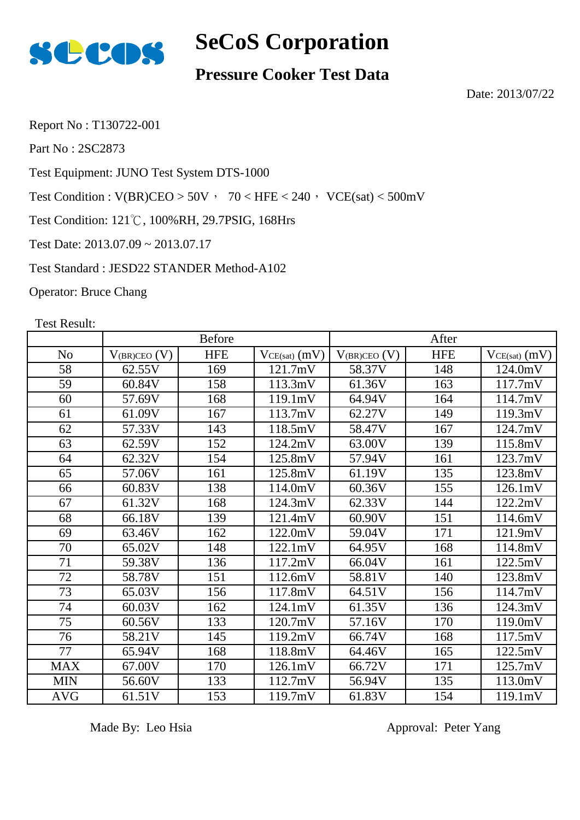

#### **Pressure Cooker Test Data**

Date: 2013/07/22

Report No : T130722-001

Part No : 2SC2873

Test Equipment: JUNO Test System DTS-1000

Test Condition :  $V(BR)CEO > 50V$ ,  $70 < HFE < 240$ ,  $VCE(sat) < 500mV$ 

Test Condition: 121℃, 100%RH, 29.7PSIG, 168Hrs

Test Date: 2013.07.09 ~ 2013.07.17

Test Standard : JESD22 STANDER Method-A102

Operator: Bruce Chang

Test Result:

|                |                     | <b>Before</b> |                       |                     | After      |                   |
|----------------|---------------------|---------------|-----------------------|---------------------|------------|-------------------|
| N <sub>o</sub> | $V_{(BR)CEO}$ $(V)$ | <b>HFE</b>    | $VCE(sat)$ $(mV)$     | $V_{(BR)CEO}$ $(V)$ | <b>HFE</b> | $VCE(sat)$ $(mV)$ |
| 58             | 62.55V              | 169           | 121.7mV               | 58.37V              | 148        | 124.0mV           |
| 59             | 60.84V              | 158           | 113.3mV               | 61.36V              | 163        | 117.7mV           |
| 60             | 57.69V              | 168           | 119.1mV               | 64.94V              | 164        | 114.7mV           |
| 61             | 61.09V              | 167           | 113.7mV               | 62.27V              | 149        | 119.3mV           |
| 62             | 57.33V              | 143           | 118.5mV               | 58.47V              | 167        | 124.7mV           |
| 63             | 62.59V              | 152           | 124.2mV               | 63.00V              | 139        | 115.8mV           |
| 64             | 62.32V              | 154           | 125.8mV               | 57.94V              | 161        | 123.7mV           |
| 65             | 57.06V              | 161           | 125.8mV               | 61.19V              | 135        | 123.8mV           |
| 66             | 60.83V              | 138           | 114.0mV               | 60.36V              | 155        | 126.1mV           |
| 67             | 61.32V              | 168           | 124.3mV               | 62.33V              | 144        | 122.2mV           |
| 68             | 66.18V              | 139           | 121.4mV               | 60.90V              | 151        | 114.6mV           |
| 69             | 63.46V              | 162           | 122.0mV               | 59.04V              | 171        | 121.9mV           |
| 70             | 65.02V              | 148           | 122.1mV               | 64.95V              | 168        | 114.8mV           |
| 71             | 59.38V              | 136           | 117.2mV               | 66.04V              | 161        | 122.5mV           |
| 72             | 58.78V              | 151           | 112.6mV               | 58.81V              | 140        | 123.8mV           |
| 73             | 65.03V              | 156           | 117.8mV               | 64.51V              | 156        | 114.7mV           |
| 74             | 60.03V              | 162           | 124.1mV               | 61.35V              | 136        | 124.3mV           |
| 75             | 60.56V              | 133           | 120.7mV               | 57.16V              | 170        | 119.0mV           |
| 76             | 58.21V              | 145           | 119.2mV               | 66.74V              | 168        | 117.5mV           |
| 77             | 65.94V              | 168           | 118.8mV               | 64.46V              | 165        | 122.5mV           |
| <b>MAX</b>     | 67.00V              | 170           | 126.1mV               | 66.72V              | 171        | 125.7mV           |
| <b>MIN</b>     | 56.60V              | 133           | $\overline{1}$ 12.7mV | 56.94V              | 135        | 113.0mV           |
| <b>AVG</b>     | 61.51V              | 153           | 119.7mV               | 61.83V              | 154        | 119.1mV           |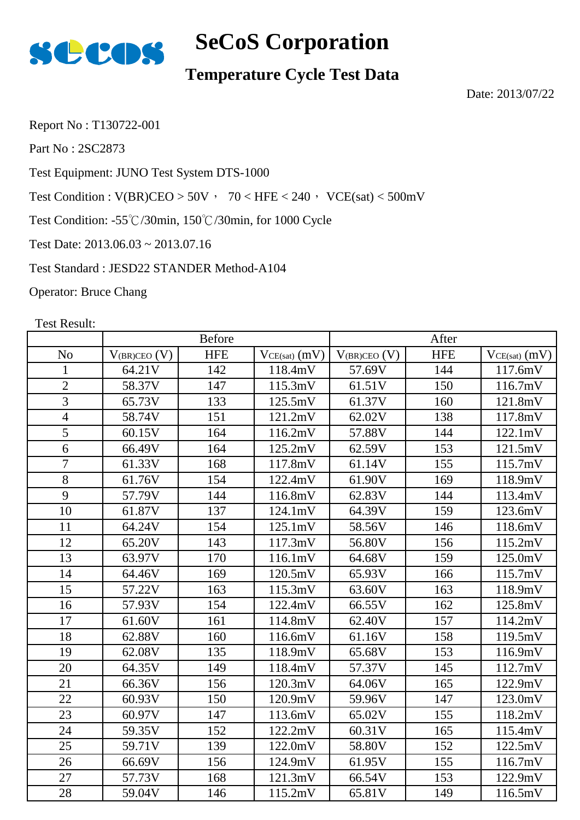

#### **Temperature Cycle Test Data**

Date: 2013/07/22

Report No : T130722-001

Part No : 2SC2873

Test Equipment: JUNO Test System DTS-1000

Test Condition :  $V(BR)CEO > 50V$ ,  $70 < HFE < 240$ ,  $VCE(sat) < 500mV$ 

Test Condition: -55℃/30min, 150℃/30min, for 1000 Cycle

Test Date: 2013.06.03 ~ 2013.07.16

Test Standard : JESD22 STANDER Method-A104

Operator: Bruce Chang

|                | <b>Before</b>     |            |                 |                   | After      |                 |
|----------------|-------------------|------------|-----------------|-------------------|------------|-----------------|
| N <sub>o</sub> | $V_{(BR)CEO} (V)$ | <b>HFE</b> | $VCE(sat)$ (mV) | $V_{(BR)CEO} (V)$ | <b>HFE</b> | $VCE(sat)$ (mV) |
| $\mathbf{1}$   | 64.21V            | 142        | 118.4mV         | 57.69V            | 144        | 117.6mV         |
| $\overline{2}$ | 58.37V            | 147        | 115.3mV         | 61.51V            | 150        | 116.7mV         |
| $\overline{3}$ | 65.73V            | 133        | 125.5mV         | 61.37V            | 160        | 121.8mV         |
| $\overline{4}$ | 58.74V            | 151        | 121.2mV         | 62.02V            | 138        | 117.8mV         |
| 5              | 60.15V            | 164        | 116.2mV         | 57.88V            | 144        | 122.1mV         |
| 6              | 66.49V            | 164        | 125.2mV         | 62.59V            | 153        | 121.5mV         |
| $\overline{7}$ | 61.33V            | 168        | 117.8mV         | 61.14V            | 155        | 115.7mV         |
| $8\,$          | 61.76V            | 154        | 122.4mV         | 61.90V            | 169        | 118.9mV         |
| 9              | 57.79V            | 144        | 116.8mV         | 62.83V            | 144        | 113.4mV         |
| 10             | 61.87V            | 137        | 124.1mV         | 64.39V            | 159        | 123.6mV         |
| 11             | 64.24V            | 154        | 125.1mV         | 58.56V            | 146        | 118.6mV         |
| 12             | 65.20V            | 143        | 117.3mV         | 56.80V            | 156        | 115.2mV         |
| 13             | 63.97V            | 170        | 116.1mV         | 64.68V            | 159        | 125.0mV         |
| 14             | 64.46V            | 169        | 120.5mV         | 65.93V            | 166        | 115.7mV         |
| 15             | 57.22V            | 163        | 115.3mV         | 63.60V            | 163        | 118.9mV         |
| 16             | 57.93V            | 154        | 122.4mV         | 66.55V            | 162        | 125.8mV         |
| 17             | 61.60V            | 161        | 114.8mV         | 62.40V            | 157        | 114.2mV         |
| 18             | 62.88V            | 160        | 116.6mV         | 61.16V            | 158        | 119.5mV         |
| 19             | 62.08V            | 135        | 118.9mV         | 65.68V            | 153        | 116.9mV         |
| 20             | 64.35V            | 149        | 118.4mV         | 57.37V            | 145        | 112.7mV         |
| 21             | 66.36V            | 156        | 120.3mV         | 64.06V            | 165        | 122.9mV         |
| 22             | 60.93V            | 150        | 120.9mV         | 59.96V            | 147        | 123.0mV         |
| 23             | 60.97V            | 147        | 113.6mV         | 65.02V            | 155        | 118.2mV         |
| 24             | 59.35V            | 152        | 122.2mV         | 60.31V            | 165        | 115.4mV         |
| 25             | 59.71V            | 139        | 122.0mV         | 58.80V            | 152        | 122.5mV         |
| 26             | 66.69V            | 156        | 124.9mV         | 61.95V            | 155        | 116.7mV         |
| 27             | 57.73V            | 168        | 121.3mV         | 66.54V            | 153        | 122.9mV         |
| 28             | 59.04V            | 146        | 115.2mV         | 65.81V            | 149        | 116.5mV         |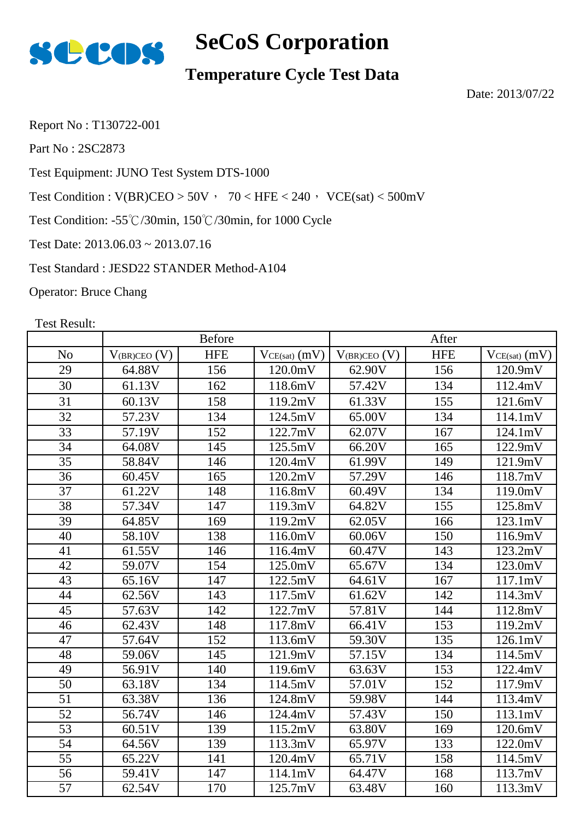

#### **Temperature Cycle Test Data**

Date: 2013/07/22

Report No : T130722-001

Part No : 2SC2873

Test Equipment: JUNO Test System DTS-1000

Test Condition :  $V(BR)CEO > 50V$ ,  $70 < HFE < 240$ ,  $VCE(sat) < 500mV$ 

Test Condition: -55℃/30min, 150℃/30min, for 1000 Cycle

Test Date: 2013.06.03 ~ 2013.07.16

Test Standard : JESD22 STANDER Method-A104

Operator: Bruce Chang

|                 | <b>Before</b>     |            |                       |                   | After      |                   |
|-----------------|-------------------|------------|-----------------------|-------------------|------------|-------------------|
| N <sub>0</sub>  | $V_{(BR)CEO} (V)$ | <b>HFE</b> | $VCE(sat)$ $(mV)$     | $V_{(BR)CEO} (V)$ | <b>HFE</b> | $VCE(sat)$ $(mV)$ |
| 29              | 64.88V            | 156        | 120.0mV               | 62.90V            | 156        | 120.9mV           |
| 30              | 61.13V            | 162        | 118.6mV               | 57.42V            | 134        | 112.4mV           |
| 31              | 60.13V            | 158        | 119.2mV               | 61.33V            | 155        | 121.6mV           |
| 32              | 57.23V            | 134        | 124.5mV               | 65.00V            | 134        | 114.1mV           |
| 33              | 57.19V            | 152        | $\overline{122.7}$ mV | 62.07V            | 167        | 124.1mV           |
| 34              | 64.08V            | 145        | 125.5mV               | 66.20V            | 165        | 122.9mV           |
| $\overline{35}$ | 58.84V            | 146        | 120.4mV               | 61.99V            | 149        | 121.9mV           |
| 36              | 60.45V            | 165        | 120.2mV               | 57.29V            | 146        | 118.7mV           |
| $\overline{37}$ | 61.22V            | 148        | 116.8mV               | 60.49V            | 134        | 119.0mV           |
| 38              | 57.34V            | 147        | 119.3mV               | 64.82V            | 155        | 125.8mV           |
| $\overline{39}$ | 64.85V            | 169        | 119.2mV               | 62.05V            | 166        | 123.1mV           |
| 40              | 58.10V            | 138        | 116.0mV               | 60.06V            | 150        | 116.9mV           |
| 41              | 61.55V            | 146        | 116.4mV               | 60.47V            | 143        | 123.2mV           |
| 42              | 59.07V            | 154        | 125.0mV               | 65.67V            | 134        | 123.0mV           |
| $\overline{43}$ | 65.16V            | 147        | 122.5mV               | 64.61V            | 167        | 117.1mV           |
| 44              | 62.56V            | 143        | 117.5mV               | 61.62V            | 142        | 114.3mV           |
| $\overline{45}$ | 57.63V            | 142        | 122.7mV               | 57.81V            | 144        | 112.8mV           |
| 46              | 62.43V            | 148        | 117.8mV               | 66.41V            | 153        | 119.2mV           |
| $\overline{47}$ | 57.64V            | 152        | 113.6mV               | 59.30V            | 135        | 126.1mV           |
| 48              | 59.06V            | 145        | 121.9mV               | 57.15V            | 134        | 114.5mV           |
| 49              | 56.91V            | 140        | 119.6mV               | 63.63V            | 153        | 122.4mV           |
| 50              | 63.18V            | 134        | 114.5mV               | 57.01V            | 152        | 117.9mV           |
| $\overline{51}$ | 63.38V            | 136        | 124.8mV               | 59.98V            | 144        | 113.4mV           |
| $\overline{52}$ | 56.74V            | 146        | 124.4mV               | 57.43V            | 150        | 113.1mV           |
| $\overline{53}$ | 60.51V            | 139        | 115.2mV               | 63.80V            | 169        | 120.6mV           |
| 54              | 64.56V            | 139        | 113.3mV               | 65.97V            | 133        | 122.0mV           |
| $\overline{55}$ | 65.22V            | 141        | 120.4mV               | 65.71V            | 158        | 114.5mV           |
| $\overline{56}$ | 59.41V            | 147        | 114.1mV               | 64.47V            | 168        | 113.7mV           |
| 57              | 62.54V            | 170        | 125.7mV               | 63.48V            | 160        | 113.3mV           |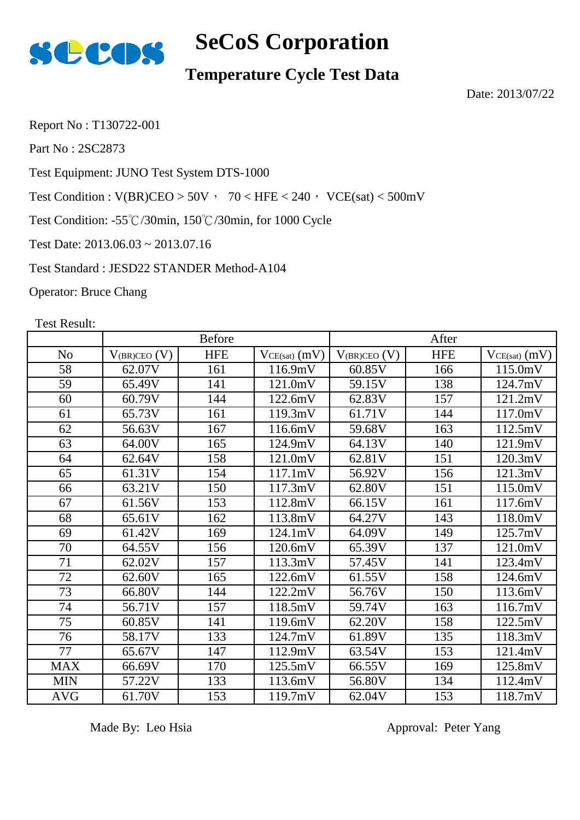

#### **Temperature Cycle Test Data**

Date: 2013/07/22

Report No : T130722-001

Part No : 2SC2873

Test Equipment: JUNO Test System DTS-1000

Test Condition :  $V(BR)CEO > 50V$ ,  $70 < HFE < 240$ ,  $VCE(sat) < 500mV$ 

Test Condition: -55℃/30min, 150℃/30min, for 1000 Cycle

Test Date: 2013.06.03 ~ 2013.07.16

Test Standard : JESD22 STANDER Method-A104

Operator: Bruce Chang

Test Result:

|                 |                     | <b>Before</b> |                   |                     | After      |                   |
|-----------------|---------------------|---------------|-------------------|---------------------|------------|-------------------|
| N <sub>o</sub>  | $V_{(BR)CEO}$ $(V)$ | <b>HFE</b>    | $VCE(sat)$ $(mV)$ | $V_{(BR)CEO}$ $(V)$ | <b>HFE</b> | $VCE(sat)$ $(mV)$ |
| 58              | 62.07V              | 161           | 116.9mV           | 60.85V              | 166        | 115.0mV           |
| 59              | 65.49V              | 141           | 121.0mV           | 59.15V              | 138        | 124.7mV           |
| 60              | 60.79V              | 144           | 122.6mV           | 62.83V              | 157        | 121.2mV           |
| 61              | 65.73V              | 161           | 119.3mV           | 61.71V              | 144        | 117.0mV           |
| 62              | 56.63V              | 167           | 116.6mV           | 59.68V              | 163        | 112.5mV           |
| 63              | 64.00V              | 165           | 124.9mV           | 64.13V              | 140        | 121.9mV           |
| 64              | 62.64V              | 158           | 121.0mV           | 62.81V              | 151        | 120.3mV           |
| 65              | 61.31V              | 154           | 117.1mV           | 56.92V              | 156        | 121.3mV           |
| 66              | 63.21V              | 150           | 117.3mV           | 62.80V              | 151        | 115.0mV           |
| 67              | 61.56V              | 153           | 112.8mV           | 66.15V              | 161        | 117.6mV           |
| 68              | 65.61V              | 162           | 113.8mV           | 64.27V              | 143        | 118.0mV           |
| 69              | 61.42V              | 169           | 124.1mV           | 64.09V              | 149        | 125.7mV           |
| 70              | 64.55V              | 156           | 120.6mV           | 65.39V              | 137        | 121.0mV           |
| 71              | 62.02V              | 157           | 113.3mV           | 57.45V              | 141        | 123.4mV           |
| 72              | 62.60V              | 165           | 122.6mV           | 61.55V              | 158        | 124.6mV           |
| 73              | 66.80V              | 144           | 122.2mV           | 56.76V              | 150        | 113.6mV           |
| 74              | 56.71V              | 157           | 118.5mV           | 59.74V              | 163        | 116.7mV           |
| $\overline{75}$ | 60.85V              | 141           | 119.6mV           | 62.20V              | 158        | 122.5mV           |
| 76              | 58.17V              | 133           | 124.7mV           | 61.89V              | 135        | 118.3mV           |
| 77              | 65.67V              | 147           | 112.9mV           | 63.54V              | 153        | 121.4mV           |
| <b>MAX</b>      | 66.69V              | 170           | 125.5mV           | 66.55V              | 169        | 125.8mV           |
| <b>MIN</b>      | 57.22V              | 133           | 113.6mV           | 56.80V              | 134        | 112.4mV           |
| <b>AVG</b>      | 61.70V              | 153           | 119.7mV           | 62.04V              | 153        | 118.7mV           |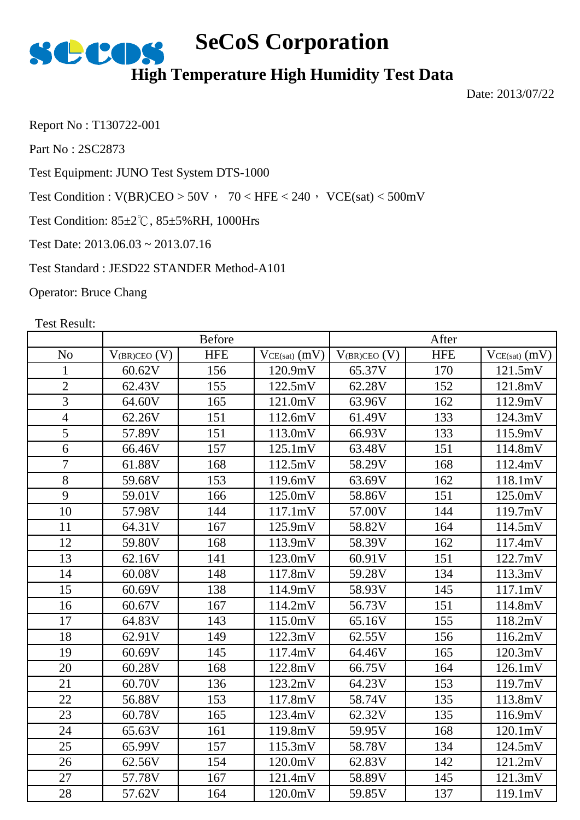

#### SCCOS **High Temperature High Humidity Test Data**

Date: 2013/07/22

Report No : T130722-001

Part No : 2SC2873

Test Equipment: JUNO Test System DTS-1000

Test Condition :  $V(BR)CEO > 50V$ ,  $70 < HFE < 240$ ,  $VCE(sat) < 500mV$ 

Test Condition: 85±2℃, 85±5%RH, 1000Hrs

Test Date: 2013.06.03 ~ 2013.07.16

Test Standard : JESD22 STANDER Method-A101

Operator: Bruce Chang

|                | <b>Before</b>     |            |                   |                   | After      |                   |
|----------------|-------------------|------------|-------------------|-------------------|------------|-------------------|
| N <sub>o</sub> | $V_{(BR)CEO} (V)$ | <b>HFE</b> | $VCE(sat)$ $(mV)$ | $V_{(BR)CEO} (V)$ | <b>HFE</b> | $VCE(sat)$ $(mV)$ |
| $\mathbf{1}$   | 60.62V            | 156        | 120.9mV           | 65.37V            | 170        | 121.5mV           |
| $\overline{2}$ | 62.43V            | 155        | 122.5mV           | 62.28V            | 152        | 121.8mV           |
| 3              | 64.60V            | 165        | 121.0mV           | 63.96V            | 162        | 112.9mV           |
| $\overline{4}$ | 62.26V            | 151        | 112.6mV           | 61.49V            | 133        | 124.3mV           |
| $\overline{5}$ | 57.89V            | 151        | 113.0mV           | 66.93V            | 133        | 115.9mV           |
| 6              | 66.46V            | 157        | 125.1mV           | 63.48V            | 151        | 114.8mV           |
| $\overline{7}$ | 61.88V            | 168        | 112.5mV           | 58.29V            | 168        | 112.4mV           |
| 8              | 59.68V            | 153        | 119.6mV           | 63.69V            | 162        | 118.1mV           |
| 9              | 59.01V            | 166        | 125.0mV           | 58.86V            | 151        | 125.0mV           |
| 10             | 57.98V            | 144        | 117.1mV           | 57.00V            | 144        | 119.7mV           |
| 11             | 64.31V            | 167        | 125.9mV           | 58.82V            | 164        | 114.5mV           |
| 12             | 59.80V            | 168        | 113.9mV           | 58.39V            | 162        | 117.4mV           |
| 13             | 62.16V            | 141        | 123.0mV           | 60.91V            | 151        | 122.7mV           |
| 14             | 60.08V            | 148        | 117.8mV           | 59.28V            | 134        | 113.3mV           |
| 15             | 60.69V            | 138        | 114.9mV           | 58.93V            | 145        | 117.1mV           |
| 16             | 60.67V            | 167        | 114.2mV           | 56.73V            | 151        | 114.8mV           |
| 17             | 64.83V            | 143        | 115.0mV           | 65.16V            | 155        | 118.2mV           |
| 18             | 62.91V            | 149        | 122.3mV           | 62.55V            | 156        | 116.2mV           |
| 19             | 60.69V            | 145        | 117.4mV           | 64.46V            | 165        | 120.3mV           |
| 20             | 60.28V            | 168        | 122.8mV           | 66.75V            | 164        | 126.1mV           |
| 21             | 60.70V            | 136        | 123.2mV           | 64.23V            | 153        | 119.7mV           |
| 22             | 56.88V            | 153        | 117.8mV           | 58.74V            | 135        | 113.8mV           |
| 23             | 60.78V            | 165        | 123.4mV           | 62.32V            | 135        | 116.9mV           |
| 24             | 65.63V            | 161        | 119.8mV           | 59.95V            | 168        | 120.1mV           |
| 25             | 65.99V            | 157        | 115.3mV           | 58.78V            | 134        | 124.5mV           |
| 26             | 62.56V            | 154        | 120.0mV           | 62.83V            | 142        | 121.2mV           |
| 27             | 57.78V            | 167        | 121.4mV           | 58.89V            | 145        | 121.3mV           |
| 28             | 57.62V            | 164        | 120.0mV           | 59.85V            | 137        | 119.1mV           |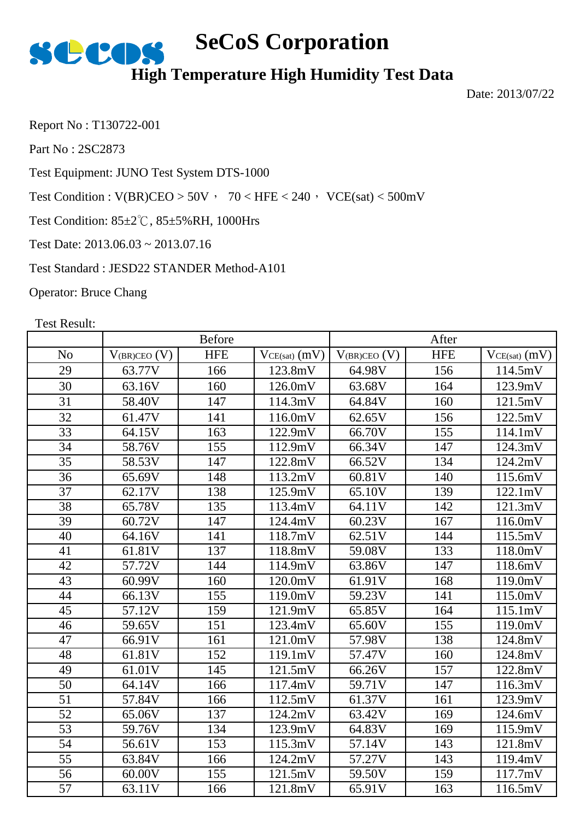

# **High Temperature High Humidity Test Data**

Date: 2013/07/22

Report No : T130722-001

Part No : 2SC2873

Test Equipment: JUNO Test System DTS-1000

Test Condition :  $V(BR)CEO > 50V$ ,  $70 < HFE < 240$ ,  $VCE(sat) < 500mV$ 

Test Condition: 85±2℃, 85±5%RH, 1000Hrs

Test Date: 2013.06.03 ~ 2013.07.16

Test Standard : JESD22 STANDER Method-A101

Operator: Bruce Chang

|                 | <b>Before</b>     |            |                   |                   | After      |                       |
|-----------------|-------------------|------------|-------------------|-------------------|------------|-----------------------|
| N <sub>o</sub>  | $V_{(BR)CEO} (V)$ | <b>HFE</b> | $VCE(sat)$ $(mV)$ | $V_{(BR)CEO} (V)$ | <b>HFE</b> | $VCE(sat)$ $(mV)$     |
| 29              | 63.77V            | 166        | 123.8mV           | 64.98V            | 156        | 114.5mV               |
| 30              | 63.16V            | 160        | 126.0mV           | 63.68V            | 164        | 123.9mV               |
| 31              | 58.40V            | 147        | 114.3mV           | 64.84V            | 160        | 121.5mV               |
| 32              | 61.47V            | 141        | 116.0mV           | 62.65V            | 156        | 122.5mV               |
| $\overline{33}$ | 64.15V            | 163        | 122.9mV           | 66.70V            | 155        | 114.1mV               |
| 34              | 58.76V            | 155        | 112.9mV           | 66.34V            | 147        | 124.3mV               |
| 35              | 58.53V            | 147        | 122.8mV           | 66.52V            | 134        | 124.2mV               |
| 36              | 65.69V            | 148        | 113.2mV           | 60.81V            | 140        | 115.6mV               |
| 37              | 62.17V            | 138        | 125.9mV           | 65.10V            | 139        | 122.1mV               |
| 38              | 65.78V            | 135        | 113.4mV           | 64.11V            | 142        | 121.3mV               |
| $\overline{39}$ | 60.72V            | 147        | 124.4mV           | 60.23V            | 167        | 116.0mV               |
| 40              | 64.16V            | 141        | 118.7mV           | 62.51V            | 144        | 115.5mV               |
| 41              | 61.81V            | 137        | 118.8mV           | 59.08V            | 133        | 118.0mV               |
| 42              | 57.72V            | 144        | 114.9mV           | 63.86V            | 147        | 118.6mV               |
| $\overline{43}$ | 60.99V            | 160        | 120.0mV           | 61.91V            | 168        | 119.0mV               |
| 44              | 66.13V            | 155        | 119.0mV           | 59.23V            | 141        | 115.0mV               |
| $\overline{45}$ | 57.12V            | 159        | 121.9mV           | 65.85V            | 164        | 115.1mV               |
| 46              | 59.65V            | 151        | 123.4mV           | 65.60V            | 155        | 119.0mV               |
| 47              | 66.91V            | 161        | 121.0mV           | 57.98V            | 138        | 124.8mV               |
| $\overline{48}$ | 61.81V            | 152        | 119.1mV           | 57.47V            | 160        | 124.8mV               |
| 49              | 61.01V            | 145        | 121.5mV           | 66.26V            | 157        | 122.8mV               |
| $\overline{50}$ | 64.14V            | 166        | 117.4mV           | 59.71V            | 147        | $\overline{1}16.3$ mV |
| 51              | 57.84V            | 166        | 112.5mV           | 61.37V            | 161        | 123.9mV               |
| 52              | 65.06V            | 137        | 124.2mV           | 63.42V            | 169        | 124.6mV               |
| $\overline{53}$ | 59.76V            | 134        | 123.9mV           | 64.83V            | 169        | 115.9mV               |
| $\overline{54}$ | 56.61V            | 153        | 115.3mV           | 57.14V            | 143        | 121.8mV               |
| 55              | 63.84V            | 166        | 124.2mV           | 57.27V            | 143        | 119.4mV               |
| $\overline{56}$ | 60.00V            | 155        | 121.5mV           | 59.50V            | 159        | 117.7mV               |
| $\overline{57}$ | 63.11V            | 166        | 121.8mV           | 65.91V            | 163        | 116.5mV               |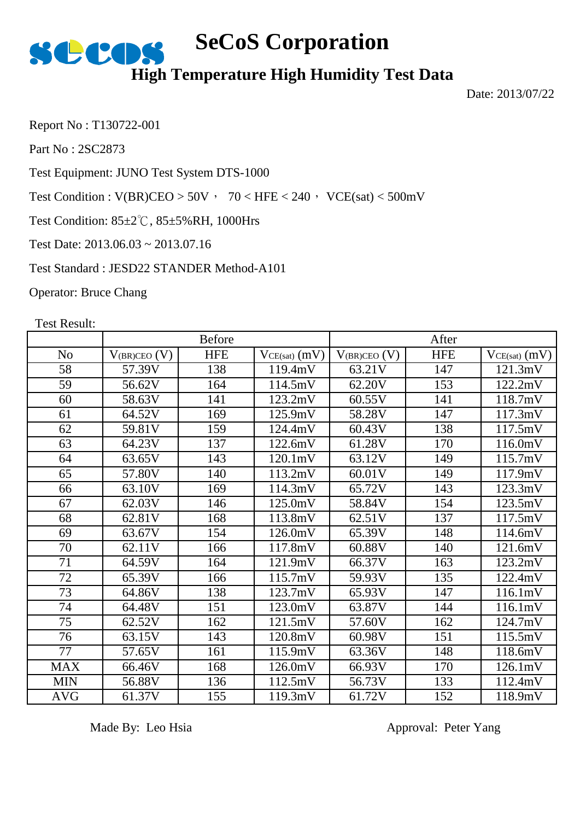

**High Temperature High Humidity Test Data**

Date: 2013/07/22

Report No : T130722-001

Part No : 2SC2873

Test Equipment: JUNO Test System DTS-1000

Test Condition :  $V(BR)CEO > 50V$ ,  $70 < HFE < 240$ ,  $VCE(sat) < 500mV$ 

Test Condition: 85±2℃, 85±5%RH, 1000Hrs

Test Date: 2013.06.03 ~ 2013.07.16

Test Standard : JESD22 STANDER Method-A101

Operator: Bruce Chang

Test Result:

|                 |                   | <b>Before</b> |                   |                   | After      |                 |
|-----------------|-------------------|---------------|-------------------|-------------------|------------|-----------------|
| N <sub>o</sub>  | $V_{(BR)CEO} (V)$ | <b>HFE</b>    | $VCE(sat)$ $(mV)$ | $V_{(BR)CEO} (V)$ | <b>HFE</b> | $VCE(sat)$ (mV) |
| 58              | 57.39V            | 138           | 119.4mV           | 63.21V            | 147        | 121.3mV         |
| 59              | 56.62V            | 164           | 114.5mV           | 62.20V            | 153        | 122.2mV         |
| 60              | 58.63V            | 141           | 123.2mV           | 60.55V            | 141        | 118.7mV         |
| 61              | 64.52V            | 169           | 125.9mV           | 58.28V            | 147        | 117.3mV         |
| 62              | 59.81V            | 159           | 124.4mV           | 60.43V            | 138        | 117.5mV         |
| 63              | 64.23V            | 137           | 122.6mV           | 61.28V            | 170        | 116.0mV         |
| 64              | 63.65V            | 143           | 120.1mV           | 63.12V            | 149        | 115.7mV         |
| 65              | 57.80V            | 140           | 113.2mV           | 60.01V            | 149        | 117.9mV         |
| 66              | 63.10V            | 169           | 114.3mV           | 65.72V            | 143        | 123.3mV         |
| 67              | 62.03V            | 146           | 125.0mV           | 58.84V            | 154        | 123.5mV         |
| 68              | 62.81V            | 168           | 113.8mV           | 62.51V            | 137        | 117.5mV         |
| 69              | 63.67V            | 154           | 126.0mV           | 65.39V            | 148        | 114.6mV         |
| 70              | 62.11V            | 166           | 117.8mV           | 60.88V            | 140        | 121.6mV         |
| 71              | 64.59V            | 164           | 121.9mV           | 66.37V            | 163        | 123.2mV         |
| 72              | 65.39V            | 166           | 115.7mV           | 59.93V            | 135        | 122.4mV         |
| 73              | 64.86V            | 138           | 123.7mV           | 65.93V            | 147        | 116.1mV         |
| 74              | 64.48V            | 151           | 123.0mV           | 63.87V            | 144        | 116.1mV         |
| 75              | 62.52V            | 162           | 121.5mV           | 57.60V            | 162        | 124.7mV         |
| 76              | 63.15V            | 143           | 120.8mV           | 60.98V            | 151        | 115.5mV         |
| $\overline{77}$ | 57.65V            | 161           | 115.9mV           | 63.36V            | 148        | 118.6mV         |
| <b>MAX</b>      | 66.46V            | 168           | 126.0mV           | 66.93V            | 170        | 126.1mV         |
| <b>MIN</b>      | 56.88V            | 136           | 112.5mV           | 56.73V            | 133        | 112.4mV         |
| <b>AVG</b>      | 61.37V            | 155           | 119.3mV           | 61.72V            | 152        | 118.9mV         |